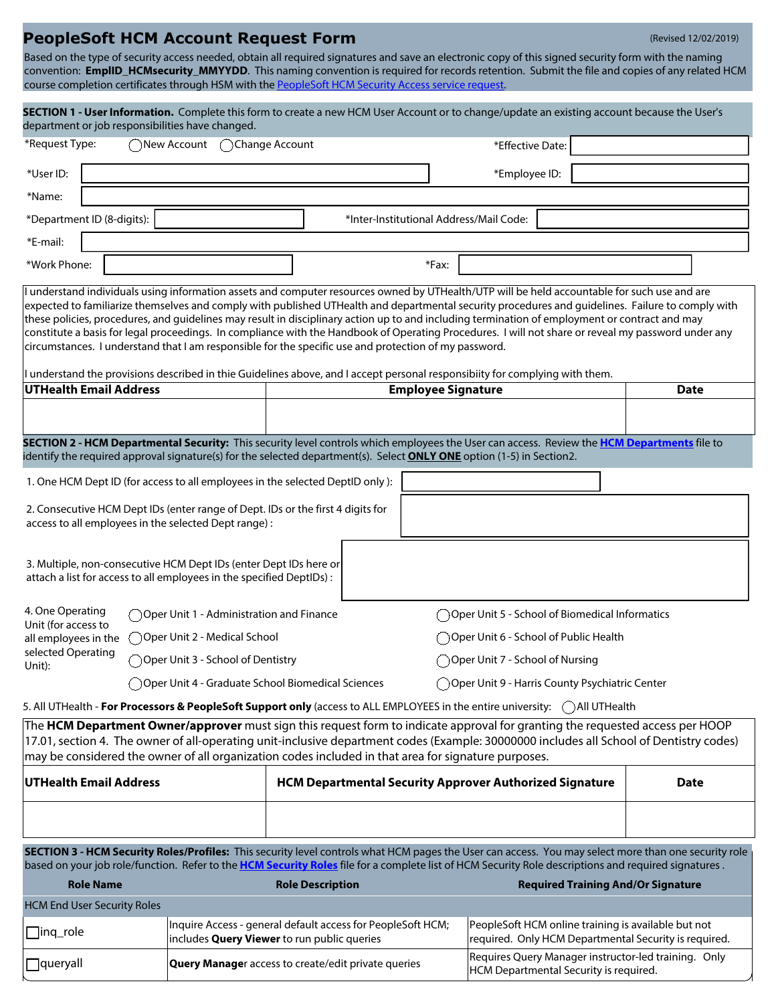## **PeopleSoft HCM Account Request Form** (Revised 12/02/2019)

Based on the type of security access needed, obtain all required signatures and save an electronic copy of this signed security form with the naming convention: **EmplID\_HCMsecurity\_MMYYDD**. This naming convention is required for records retention. Submit the file and copies of any related HCM course completion certificates through HSM with the [PeopleSoft HCM Security Access service request.](https://go.uth.edu/hcmsecurity)

| SECTION 1 - User Information. Complete this form to create a new HCM User Account or to change/update an existing account because the User's                                                                                                                                                                                                                                                                                                                                                                                                                                                                                                                                                                        |                                                                                                            |  |                   |                                                                                                       |                           |       |                                                                                                                              |             |                                           |
|---------------------------------------------------------------------------------------------------------------------------------------------------------------------------------------------------------------------------------------------------------------------------------------------------------------------------------------------------------------------------------------------------------------------------------------------------------------------------------------------------------------------------------------------------------------------------------------------------------------------------------------------------------------------------------------------------------------------|------------------------------------------------------------------------------------------------------------|--|-------------------|-------------------------------------------------------------------------------------------------------|---------------------------|-------|------------------------------------------------------------------------------------------------------------------------------|-------------|-------------------------------------------|
| department or job responsibilities have changed.                                                                                                                                                                                                                                                                                                                                                                                                                                                                                                                                                                                                                                                                    |                                                                                                            |  |                   |                                                                                                       |                           |       |                                                                                                                              |             |                                           |
| *Request Type:<br>◯New Account                                                                                                                                                                                                                                                                                                                                                                                                                                                                                                                                                                                                                                                                                      |                                                                                                            |  | ( )Change Account |                                                                                                       |                           |       | *Effective Date:                                                                                                             |             |                                           |
| *User ID:                                                                                                                                                                                                                                                                                                                                                                                                                                                                                                                                                                                                                                                                                                           |                                                                                                            |  |                   |                                                                                                       |                           |       | *Employee ID:                                                                                                                |             |                                           |
| *Name:                                                                                                                                                                                                                                                                                                                                                                                                                                                                                                                                                                                                                                                                                                              |                                                                                                            |  |                   |                                                                                                       |                           |       |                                                                                                                              |             |                                           |
| *Department ID (8-digits):<br>*Inter-Institutional Address/Mail Code:                                                                                                                                                                                                                                                                                                                                                                                                                                                                                                                                                                                                                                               |                                                                                                            |  |                   |                                                                                                       |                           |       |                                                                                                                              |             |                                           |
| *E-mail:                                                                                                                                                                                                                                                                                                                                                                                                                                                                                                                                                                                                                                                                                                            |                                                                                                            |  |                   |                                                                                                       |                           |       |                                                                                                                              |             |                                           |
| *Work Phone:                                                                                                                                                                                                                                                                                                                                                                                                                                                                                                                                                                                                                                                                                                        |                                                                                                            |  |                   |                                                                                                       |                           | *Fax: |                                                                                                                              |             |                                           |
| I understand individuals using information assets and computer resources owned by UTHealth/UTP will be held accountable for such use and are<br>expected to familiarize themselves and comply with published UTHealth and departmental security procedures and guidelines. Failure to comply with<br>these policies, procedures, and guidelines may result in disciplinary action up to and including termination of employment or contract and may<br>constitute a basis for legal proceedings. In compliance with the Handbook of Operating Procedures. I will not share or reveal my password under any<br>circumstances. I understand that I am responsible for the specific use and protection of my password. |                                                                                                            |  |                   |                                                                                                       |                           |       |                                                                                                                              |             |                                           |
| UTHealth Email Address                                                                                                                                                                                                                                                                                                                                                                                                                                                                                                                                                                                                                                                                                              |                                                                                                            |  |                   |                                                                                                       | <b>Employee Signature</b> |       | I understand the provisions described in thie Guidelines above, and I accept personal responsibiity for complying with them. |             | <b>Date</b>                               |
|                                                                                                                                                                                                                                                                                                                                                                                                                                                                                                                                                                                                                                                                                                                     |                                                                                                            |  |                   |                                                                                                       |                           |       |                                                                                                                              |             |                                           |
| SECTION 2 - HCM Departmental Security: This security level controls which employees the User can access. Review the HCM Departments file to<br>identify the required approval signature(s) for the selected department(s). Select <b>ONLY ONE</b> option (1-5) in Section2.                                                                                                                                                                                                                                                                                                                                                                                                                                         |                                                                                                            |  |                   |                                                                                                       |                           |       |                                                                                                                              |             |                                           |
| 1. One HCM Dept ID (for access to all employees in the selected DeptID only):                                                                                                                                                                                                                                                                                                                                                                                                                                                                                                                                                                                                                                       |                                                                                                            |  |                   |                                                                                                       |                           |       |                                                                                                                              |             |                                           |
| 2. Consecutive HCM Dept IDs (enter range of Dept. IDs or the first 4 digits for<br>access to all employees in the selected Dept range) :                                                                                                                                                                                                                                                                                                                                                                                                                                                                                                                                                                            |                                                                                                            |  |                   |                                                                                                       |                           |       |                                                                                                                              |             |                                           |
| 3. Multiple, non-consecutive HCM Dept IDs (enter Dept IDs here or<br>attach a list for access to all employees in the specified DeptIDs) :                                                                                                                                                                                                                                                                                                                                                                                                                                                                                                                                                                          |                                                                                                            |  |                   |                                                                                                       |                           |       |                                                                                                                              |             |                                           |
| 4. One Operating                                                                                                                                                                                                                                                                                                                                                                                                                                                                                                                                                                                                                                                                                                    |                                                                                                            |  |                   | $\bigcirc$ Oper Unit 1 - Administration and Finance                                                   |                           |       | Oper Unit 5 - School of Biomedical Informatics                                                                               |             |                                           |
| Unit (for access to<br>all employees in the                                                                                                                                                                                                                                                                                                                                                                                                                                                                                                                                                                                                                                                                         | ○ Oper Unit 2 - Medical School                                                                             |  |                   |                                                                                                       |                           |       | Oper Unit 6 - School of Public Health                                                                                        |             |                                           |
| selected Operating<br>Unit):                                                                                                                                                                                                                                                                                                                                                                                                                                                                                                                                                                                                                                                                                        | Oper Unit 3 - School of Dentistry                                                                          |  |                   | ◯ Oper Unit 7 - School of Nursing                                                                     |                           |       |                                                                                                                              |             |                                           |
|                                                                                                                                                                                                                                                                                                                                                                                                                                                                                                                                                                                                                                                                                                                     |                                                                                                            |  |                   | ◯ Oper Unit 4 - Graduate School Biomedical Sciences<br>Oper Unit 9 - Harris County Psychiatric Center |                           |       |                                                                                                                              |             |                                           |
|                                                                                                                                                                                                                                                                                                                                                                                                                                                                                                                                                                                                                                                                                                                     |                                                                                                            |  |                   |                                                                                                       |                           |       | 5. All UTHealth - For Processors & PeopleSoft Support only (access to ALL EMPLOYEES in the entire university: (All UTHealth  |             |                                           |
| The HCM Department Owner/approver must sign this request form to indicate approval for granting the requested access per HOOP<br>17.01, section 4. The owner of all-operating unit-inclusive department codes (Example: 30000000 includes all School of Dentistry codes)<br>$\vert$ may be considered the owner of all organization codes included in that area for signature purposes.                                                                                                                                                                                                                                                                                                                             |                                                                                                            |  |                   |                                                                                                       |                           |       |                                                                                                                              |             |                                           |
| UTHealth Email Address                                                                                                                                                                                                                                                                                                                                                                                                                                                                                                                                                                                                                                                                                              |                                                                                                            |  |                   | <b>HCM Departmental Security Approver Authorized Signature</b>                                        |                           |       |                                                                                                                              | <b>Date</b> |                                           |
|                                                                                                                                                                                                                                                                                                                                                                                                                                                                                                                                                                                                                                                                                                                     |                                                                                                            |  |                   |                                                                                                       |                           |       |                                                                                                                              |             |                                           |
| SECTION 3 - HCM Security Roles/Profiles: This security level controls what HCM pages the User can access. You may select more than one security role<br>based on your job role/function. Refer to the HCM Security Roles file for a complete list of HCM Security Role descriptions and required signatures.                                                                                                                                                                                                                                                                                                                                                                                                        |                                                                                                            |  |                   |                                                                                                       |                           |       |                                                                                                                              |             |                                           |
| <b>Role Name</b>                                                                                                                                                                                                                                                                                                                                                                                                                                                                                                                                                                                                                                                                                                    |                                                                                                            |  |                   | <b>Role Description</b>                                                                               |                           |       |                                                                                                                              |             | <b>Required Training And/Or Signature</b> |
| <b>HCM End User Security Roles</b>                                                                                                                                                                                                                                                                                                                                                                                                                                                                                                                                                                                                                                                                                  |                                                                                                            |  |                   |                                                                                                       |                           |       |                                                                                                                              |             |                                           |
| $\Box$ inq_role                                                                                                                                                                                                                                                                                                                                                                                                                                                                                                                                                                                                                                                                                                     | Inquire Access - general default access for PeopleSoft HCM;<br>includes Query Viewer to run public queries |  |                   |                                                                                                       |                           |       | PeopleSoft HCM online training is available but not<br>required. Only HCM Departmental Security is required.                 |             |                                           |

**queryall Query Manage**r access to create/edit private queries Requires Query Manager instructor-led training. Only

HCM Departmental Security is required.